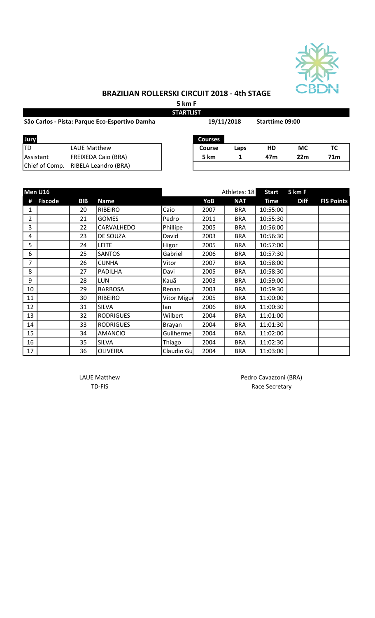

## BRAZILIAN ROLLERSKI CIRCUIT 2018 - 4th STAGE

5 km F

| <b>STARTLIST</b>                               |                            |            |                |      |                 |           |     |  |  |  |
|------------------------------------------------|----------------------------|------------|----------------|------|-----------------|-----------|-----|--|--|--|
| São Carlos - Pista: Parque Eco-Esportivo Damha |                            | 19/11/2018 |                |      | Starttime 09:00 |           |     |  |  |  |
| Jury                                           |                            |            | <b>Courses</b> |      |                 |           |     |  |  |  |
| ltd                                            | <b>LAUE Matthew</b>        |            | <b>Course</b>  | Laps | HD              | <b>MC</b> | тс  |  |  |  |
| <b>IAssistant</b>                              | <b>FREIXEDA Caio (BRA)</b> |            | 5 km           |      | 47m             | 22m       | 71m |  |  |  |
| Chief of Comp.                                 | RIBELA Leandro (BRA)       |            |                |      |                 |           |     |  |  |  |

|                | Men U16        |            |                  |            |      | Athletes: 18 | <b>Start</b> | 5 km F      |                   |
|----------------|----------------|------------|------------------|------------|------|--------------|--------------|-------------|-------------------|
| #              | <b>Fiscode</b> | <b>BIB</b> | <b>Name</b>      |            | YoB  | <b>NAT</b>   | <b>Time</b>  | <b>Diff</b> | <b>FIS Points</b> |
| $\mathbf{1}$   |                | 20         | <b>RIBEIRO</b>   | Caio       | 2007 | <b>BRA</b>   | 10:55:00     |             |                   |
| $\overline{2}$ |                | 21         | <b>GOMES</b>     | Pedro      | 2011 | <b>BRA</b>   | 10:55:30     |             |                   |
| 3              |                | 22         | CARVALHEDO       | Phillipe   | 2005 | <b>BRA</b>   | 10:56:00     |             |                   |
| 4              |                | 23         | <b>DE SOUZA</b>  | David      | 2003 | <b>BRA</b>   | 10:56:30     |             |                   |
| 5              |                | 24         | <b>LEITE</b>     | Higor      | 2005 | <b>BRA</b>   | 10:57:00     |             |                   |
| 6              |                | 25         | <b>SANTOS</b>    | Gabriel    | 2006 | <b>BRA</b>   | 10:57:30     |             |                   |
| 7              |                | 26         | <b>CUNHA</b>     | Vitor      | 2007 | <b>BRA</b>   | 10:58:00     |             |                   |
| 8              |                | 27         | PADILHA          | Davi       | 2005 | <b>BRA</b>   | 10:58:30     |             |                   |
| 9              |                | 28         | <b>LUN</b>       | Kauã       | 2003 | <b>BRA</b>   | 10:59:00     |             |                   |
| 10             |                | 29         | <b>BARBOSA</b>   | Renan      | 2003 | <b>BRA</b>   | 10:59:30     |             |                   |
| 11             |                | 30         | <b>RIBEIRO</b>   | Vitor Migu | 2005 | <b>BRA</b>   | 11:00:00     |             |                   |
| 12             |                | 31         | <b>SILVA</b>     | lan        | 2006 | <b>BRA</b>   | 11:00:30     |             |                   |
| 13             |                | 32         | <b>RODRIGUES</b> | Wilbert    | 2004 | <b>BRA</b>   | 11:01:00     |             |                   |
| 14             |                | 33         | <b>RODRIGUES</b> | Brayan     | 2004 | <b>BRA</b>   | 11:01:30     |             |                   |
| 15             |                | 34         | <b>AMANCIO</b>   | Guilherme  | 2004 | <b>BRA</b>   | 11:02:00     |             |                   |
| 16             |                | 35         | SILVA            | Thiago     | 2004 | <b>BRA</b>   | 11:02:30     |             |                   |
| 17             |                | 36         | <b>OLIVEIRA</b>  | Claudio Gu | 2004 | <b>BRA</b>   | 11:03:00     |             |                   |

LAUE Matthew Pedro Cavazzoni (BRA)<br>TD-FIS Race Secretary Race Secretary